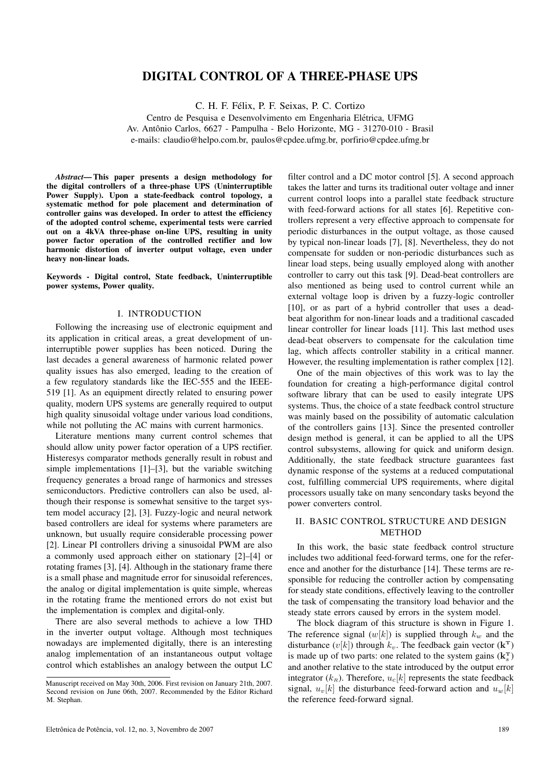# DIGITAL CONTROL OF A THREE-PHASE UPS

C. H. F. Felix, P. F. Seixas, P. C. Cortizo ´

Centro de Pesquisa e Desenvolvimento em Engenharia Elétrica, UFMG

Av. Antônio Carlos, 6627 - Pampulha - Belo Horizonte, MG - 31270-010 - Brasil

e-mails: claudio@helpo.com.br, paulos@cpdee.ufmg.br, porfirio@cpdee.ufmg.br

*Abstract*— This paper presents a design methodology for the digital controllers of a three-phase UPS (Uninterruptible Power Supply). Upon a state-feedback control topology, a systematic method for pole placement and determination of controller gains was developed. In order to attest the efficiency of the adopted control scheme, experimental tests were carried out on a 4kVA three-phase on-line UPS, resulting in unity power factor operation of the controlled rectifier and low harmonic distortion of inverter output voltage, even under heavy non-linear loads.

Keywords - Digital control, State feedback, Uninterruptible power systems, Power quality.

# I. INTRODUCTION

Following the increasing use of electronic equipment and its application in critical areas, a great development of uninterruptible power supplies has been noticed. During the last decades a general awareness of harmonic related power quality issues has also emerged, leading to the creation of a few regulatory standards like the IEC-555 and the IEEE-519 [1]. As an equipment directly related to ensuring power quality, modern UPS systems are generally required to output high quality sinusoidal voltage under various load conditions, while not polluting the AC mains with current harmonics.

Literature mentions many current control schemes that should allow unity power factor operation of a UPS rectifier. Histeresys comparator methods generally result in robust and simple implementations [1]–[3], but the variable switching frequency generates a broad range of harmonics and stresses semiconductors. Predictive controllers can also be used, although their response is somewhat sensitive to the target system model accuracy [2], [3]. Fuzzy-logic and neural network based controllers are ideal for systems where parameters are unknown, but usually require considerable processing power [2]. Linear PI controllers driving a sinusoidal PWM are also a commonly used approach either on stationary [2]–[4] or rotating frames [3], [4]. Although in the stationary frame there is a small phase and magnitude error for sinusoidal references, the analog or digital implementation is quite simple, whereas in the rotating frame the mentioned errors do not exist but the implementation is complex and digital-only.

There are also several methods to achieve a low THD in the inverter output voltage. Although most techniques nowadays are implemented digitally, there is an interesting analog implementation of an instantaneous output voltage control which establishes an analogy between the output LC filter control and a DC motor control [5]. A second approach takes the latter and turns its traditional outer voltage and inner current control loops into a parallel state feedback structure with feed-forward actions for all states [6]. Repetitive controllers represent a very effective approach to compensate for periodic disturbances in the output voltage, as those caused by typical non-linear loads [7], [8]. Nevertheless, they do not compensate for sudden or non-periodic disturbances such as linear load steps, being usually employed along with another controller to carry out this task [9]. Dead-beat controllers are also mentioned as being used to control current while an external voltage loop is driven by a fuzzy-logic controller [10], or as part of a hybrid controller that uses a deadbeat algorithm for non-linear loads and a traditional cascaded linear controller for linear loads [11]. This last method uses dead-beat observers to compensate for the calculation time lag, which affects controller stability in a critical manner. However, the resulting implementation is rather complex [12].

One of the main objectives of this work was to lay the foundation for creating a high-performance digital control software library that can be used to easily integrate UPS systems. Thus, the choice of a state feedback control structure was mainly based on the possibility of automatic calculation of the controllers gains [13]. Since the presented controller design method is general, it can be applied to all the UPS control subsystems, allowing for quick and uniform design. Additionally, the state feedback structure guarantees fast dynamic response of the systems at a reduced computational cost, fulfilling commercial UPS requirements, where digital processors usually take on many sencondary tasks beyond the power converters control.

# II. BASIC CONTROL STRUCTURE AND DESIGN METHOD

In this work, the basic state feedback control structure includes two additional feed-forward terms, one for the reference and another for the disturbance [14]. These terms are responsible for reducing the controller action by compensating for steady state conditions, effectively leaving to the controller the task of compensating the transitory load behavior and the steady state errors caused by errors in the system model.

The block diagram of this structure is shown in Figure 1. The reference signal  $(w[k])$  is supplied through  $k_w$  and the disturbance  $(v[k])$  through  $k_v$ . The feedback gain vector  $(\mathbf{k}^T)$ is made up of two parts: one related to the system gains  $(k_s^T)$ and another relative to the state introduced by the output error integrator ( $k_R$ ). Therefore,  $u_c[k]$  represents the state feedback signal,  $u_v[k]$  the disturbance feed-forward action and  $u_w[k]$ the reference feed-forward signal.

Manuscript received on May 30th, 2006. First revision on January 21th, 2007. Second revision on June 06th, 2007. Recommended by the Editor Richard M. Stephan.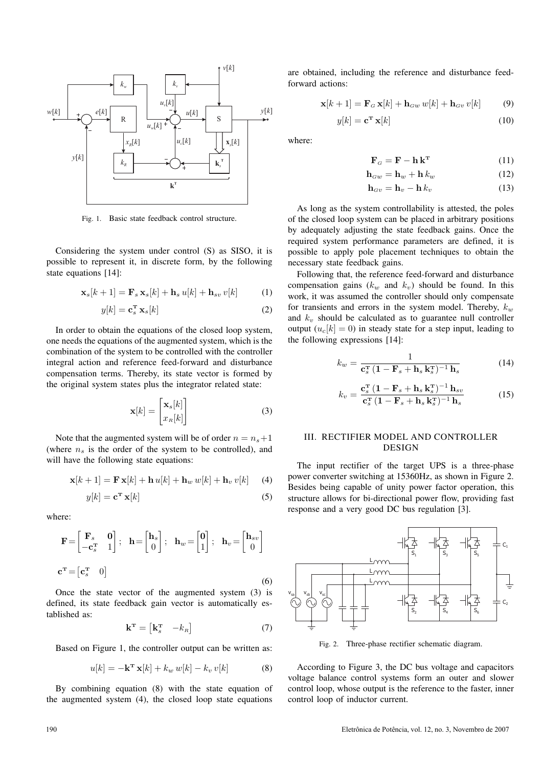

Fig. 1. Basic state feedback control structure.

Considering the system under control (S) as SISO, it is possible to represent it, in discrete form, by the following state equations [14]:

$$
\mathbf{x}_s[k+1] = \mathbf{F}_s \mathbf{x}_s[k] + \mathbf{h}_s u[k] + \mathbf{h}_{sv} v[k] \tag{1}
$$

$$
y[k] = \mathbf{c}_s^{\mathbf{T}} \mathbf{x}_s[k] \tag{2}
$$

In order to obtain the equations of the closed loop system, one needs the equations of the augmented system, which is the combination of the system to be controlled with the controller integral action and reference feed-forward and disturbance compensation terms. Thereby, its state vector is formed by the original system states plus the integrator related state:

$$
\mathbf{x}[k] = \begin{bmatrix} \mathbf{x}_s[k] \\ x_R[k] \end{bmatrix}
$$
 (3)

Note that the augmented system will be of order  $n = n<sub>s</sub> + 1$ (where  $n<sub>s</sub>$  is the order of the system to be controlled), and will have the following state equations:

$$
\mathbf{x}[k+1] = \mathbf{F}\mathbf{x}[k] + \mathbf{h}\,u[k] + \mathbf{h}_w\,w[k] + \mathbf{h}_v\,v[k] \tag{4}
$$

$$
y[k] = \mathbf{c}^{\mathrm{T}} \mathbf{x}[k] \tag{5}
$$

where:

$$
\mathbf{F} = \begin{bmatrix} \mathbf{F}_s & \mathbf{0} \\ -\mathbf{c}_s^{\mathrm{T}} & 1 \end{bmatrix}; \quad \mathbf{h} = \begin{bmatrix} \mathbf{h}_s \\ 0 \end{bmatrix}; \quad \mathbf{h}_w = \begin{bmatrix} \mathbf{0} \\ 1 \end{bmatrix}; \quad \mathbf{h}_v = \begin{bmatrix} \mathbf{h}_{sv} \\ 0 \end{bmatrix}
$$

$$
\mathbf{c}^{\mathrm{T}} = \begin{bmatrix} \mathbf{c}_s^{\mathrm{T}} & 0 \end{bmatrix}
$$
(6)

Once the state vector of the augmented system (3) is defined, its state feedback gain vector is automatically established as:

$$
\mathbf{k}^{\mathrm{T}} = \begin{bmatrix} \mathbf{k}_s^{\mathrm{T}} & -k_{\mathrm{R}} \end{bmatrix} \tag{7}
$$

Based on Figure 1, the controller output can be written as:

$$
u[k] = -\mathbf{k}^{\mathrm{T}} \mathbf{x}[k] + k_w w[k] - k_v v[k] \tag{8}
$$

By combining equation (8) with the state equation of the augmented system (4), the closed loop state equations are obtained, including the reference and disturbance feedforward actions:

$$
\mathbf{x}[k+1] = \mathbf{F}_G \mathbf{x}[k] + \mathbf{h}_{Gw} w[k] + \mathbf{h}_{Gv} v[k]
$$
(9)

$$
y[k] = \mathbf{c}^{\mathbf{T}} \mathbf{x}[k] \tag{10}
$$

where:

$$
\mathbf{F}_G = \mathbf{F} - \mathbf{h} \,\mathbf{k}^{\mathrm{T}} \tag{11}
$$

$$
\mathbf{h}_{Gw} = \mathbf{h}_w + \mathbf{h} \, k_w \tag{12}
$$

$$
\mathbf{h}_{Gv} = \mathbf{h}_v - \mathbf{h} k_v \tag{13}
$$

As long as the system controllability is attested, the poles of the closed loop system can be placed in arbitrary positions by adequately adjusting the state feedback gains. Once the required system performance parameters are defined, it is possible to apply pole placement techniques to obtain the necessary state feedback gains.

Following that, the reference feed-forward and disturbance compensation gains  $(k_w$  and  $k_v$ ) should be found. In this work, it was assumed the controller should only compensate for transients and errors in the system model. Thereby,  $k_w$ and  $k_v$  should be calculated as to guarantee null controller output  $(u_c[k] = 0)$  in steady state for a step input, leading to the following expressions [14]:

$$
k_w = \frac{1}{\mathbf{c}_s^{\mathbf{T}} \left(1 - \mathbf{F}_s + \mathbf{h}_s \mathbf{k}_s^{\mathbf{T}}\right)^{-1} \mathbf{h}_s}
$$
(14)

$$
k_v = \frac{\mathbf{c}_s^{\mathrm{T}} \left(1 - \mathbf{F}_s + \mathbf{h}_s \mathbf{k}_s^{\mathrm{T}}\right)^{-1} \mathbf{h}_{sv}}{\mathbf{c}_s^{\mathrm{T}} \left(1 - \mathbf{F}_s + \mathbf{h}_s \mathbf{k}_s^{\mathrm{T}}\right)^{-1} \mathbf{h}_s}
$$
(15)

# III. RECTIFIER MODEL AND CONTROLLER DESIGN

The input rectifier of the target UPS is a three-phase power converter switching at 15360Hz, as shown in Figure 2. Besides being capable of unity power factor operation, this structure allows for bi-directional power flow, providing fast response and a very good DC bus regulation [3].



Fig. 2. Three-phase rectifier schematic diagram.

According to Figure 3, the DC bus voltage and capacitors voltage balance control systems form an outer and slower control loop, whose output is the reference to the faster, inner control loop of inductor current.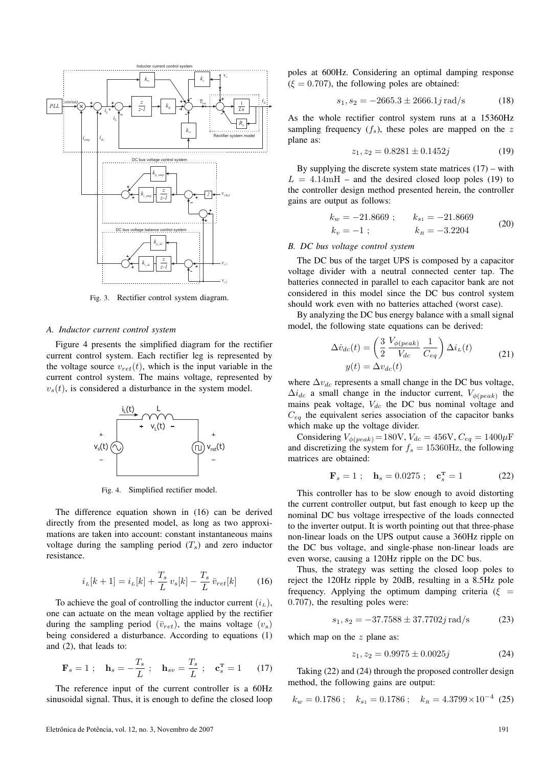

Fig. 3. Rectifier control system diagram.

#### *A. Inductor current control system*

Figure 4 presents the simplified diagram for the rectifier current control system. Each rectifier leg is represented by the voltage source  $v_{ret}(t)$ , which is the input variable in the current control system. The mains voltage, represented by  $v<sub>s</sub>(t)$ , is considered a disturbance in the system model.



Fig. 4. Simplified rectifier model.

The difference equation shown in (16) can be derived directly from the presented model, as long as two approximations are taken into account: constant instantaneous mains voltage during the sampling period  $(T<sub>s</sub>)$  and zero inductor resistance.

$$
i_L[k+1] = i_L[k] + \frac{T_s}{L} v_s[k] - \frac{T_s}{L} \bar{v}_{ret}[k] \tag{16}
$$

To achieve the goal of controlling the inductor current  $(i_L)$ , one can actuate on the mean voltage applied by the rectifier during the sampling period  $(\bar{v}_{ret})$ , the mains voltage  $(v_s)$ being considered a disturbance. According to equations (1) and (2), that leads to:

$$
\mathbf{F}_s = 1 \; ; \quad \mathbf{h}_s = -\frac{T_s}{L} \; ; \quad \mathbf{h}_{sv} = \frac{T_s}{L} \; ; \quad \mathbf{c}_s^{\mathrm{T}} = 1 \qquad (17)
$$

The reference input of the current controller is a 60Hz sinusoidal signal. Thus, it is enough to define the closed loop poles at 600Hz. Considering an optimal damping response  $(\xi = 0.707)$ , the following poles are obtained:

$$
s_1, s_2 = -2665.3 \pm 2666.1j \,\text{rad/s} \tag{18}
$$

As the whole rectifier control system runs at a 15360Hz sampling frequency  $(f_s)$ , these poles are mapped on the z plane as:

$$
z_1, z_2 = 0.8281 \pm 0.1452j \tag{19}
$$

By supplying the discrete system state matrices  $(17)$  – with  $L = 4.14 \text{mH}$  – and the desired closed loop poles (19) to the controller design method presented herein, the controller gains are output as follows:

$$
k_w = -21.8669 ; \t k_{s1} = -21.8669 \n k_v = -1 ; \t k_R = -3.2204
$$
\n(20)

# *B. DC bus voltage control system*

The DC bus of the target UPS is composed by a capacitor voltage divider with a neutral connected center tap. The batteries connected in parallel to each capacitor bank are not considered in this model since the DC bus control system should work even with no batteries attached (worst case).

By analyzing the DC bus energy balance with a small signal model, the following state equations can be derived:

$$
\Delta \dot{v}_{dc}(t) = \left(\frac{3}{2} \frac{V_{\phi (peak)}}{V_{dc}} \frac{1}{C_{eq}}\right) \Delta i_L(t)
$$
  

$$
y(t) = \Delta v_{dc}(t)
$$
 (21)

where  $\Delta v_{dc}$  represents a small change in the DC bus voltage,  $\Delta i_{dc}$  a small change in the inductor current,  $V_{\phi (peak)}$  the mains peak voltage,  $V_{dc}$  the DC bus nominal voltage and  $C_{ea}$  the equivalent series association of the capacitor banks which make up the voltage divider.

Considering  $V_{\phi (peak)} = 180$ V,  $V_{dc} = 456$ V,  $C_{eq} = 1400 \mu$ F and discretizing the system for  $f_s = 15360$ Hz, the following matrices are obtained:

$$
\mathbf{F}_s = 1 \; ; \quad \mathbf{h}_s = 0.0275 \; ; \quad \mathbf{c}_s^{\mathbf{T}} = 1 \tag{22}
$$

This controller has to be slow enough to avoid distorting the current controller output, but fast enough to keep up the nominal DC bus voltage irrespective of the loads connected to the inverter output. It is worth pointing out that three-phase non-linear loads on the UPS output cause a 360Hz ripple on the DC bus voltage, and single-phase non-linear loads are even worse, causing a 120Hz ripple on the DC bus.

Thus, the strategy was setting the closed loop poles to reject the 120Hz ripple by 20dB, resulting in a 8.5Hz pole frequency. Applying the optimum damping criteria ( $\xi$  = 0.707), the resulting poles were:

$$
s_1, s_2 = -37.7588 \pm 37.7702j \,\text{rad/s} \tag{23}
$$

which map on the  $z$  plane as:

$$
z_1, z_2 = 0.9975 \pm 0.0025j \tag{24}
$$

Taking (22) and (24) through the proposed controller design method, the following gains are output:

$$
k_w = 0.1786
$$
;  $k_{s_1} = 0.1786$ ;  $k_R = 4.3799 \times 10^{-4}$  (25)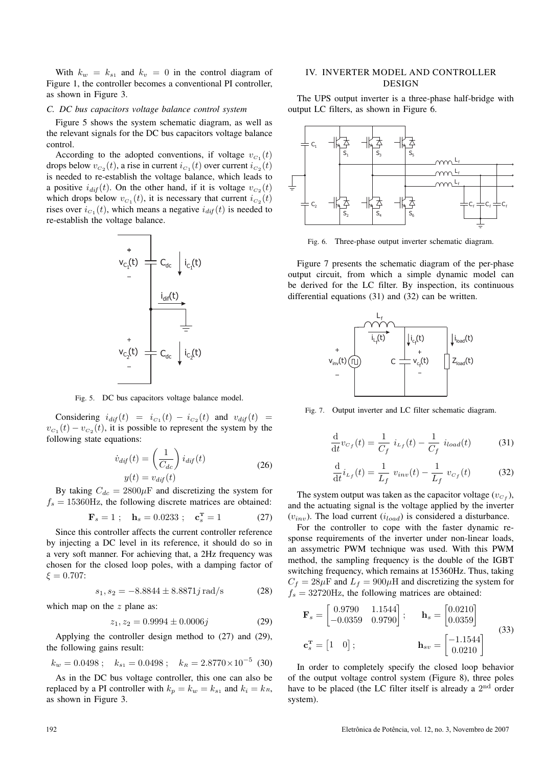With  $k_w = k_{s1}$  and  $k_v = 0$  in the control diagram of Figure 1, the controller becomes a conventional PI controller, as shown in Figure 3.

#### *C. DC bus capacitors voltage balance control system*

Figure 5 shows the system schematic diagram, as well as the relevant signals for the DC bus capacitors voltage balance control.

According to the adopted conventions, if voltage  $v_{C_1}(t)$ drops below  $v_{C_2}(t)$ , a rise in current  $i_{C_1}(t)$  over current  $i_{C_2}(t)$ is needed to re-establish the voltage balance, which leads to a positive  $i_{diff}(t)$ . On the other hand, if it is voltage  $v_{C_2}(t)$ which drops below  $v_{C_1}(t)$ , it is necessary that current  $i_{C_2}(t)$ rises over  $i_{C_1}(t)$ , which means a negative  $i_{di}f(t)$  is needed to re-establish the voltage balance.



Fig. 5. DC bus capacitors voltage balance model.

Considering  $i_{dif}(t) = i_{C_1}(t) - i_{C_2}(t)$  and  $v_{dif}(t) =$  $v_{C_1}(t) - v_{C_2}(t)$ , it is possible to represent the system by the following state equations:

$$
\dot{v}_{dif}(t) = \left(\frac{1}{C_{dc}}\right) i_{dif}(t)
$$
\n
$$
y(t) = v_{dif}(t)
$$
\n(26)

By taking  $C_{dc} = 2800 \mu$ F and discretizing the system for  $f_s = 15360$ Hz, the following discrete matrices are obtained:

$$
\mathbf{F}_s = 1 \; ; \quad \mathbf{h}_s = 0.0233 \; ; \quad \mathbf{c}_s^{\mathbf{T}} = 1 \tag{27}
$$

Since this controller affects the current controller reference by injecting a DC level in its reference, it should do so in a very soft manner. For achieving that, a 2Hz frequency was chosen for the closed loop poles, with a damping factor of  $\xi = 0.707$ :

$$
s_1, s_2 = -8.8844 \pm 8.8871j \,\text{rad/s} \tag{28}
$$

which map on the  $z$  plane as:

$$
z_1, z_2 = 0.9994 \pm 0.0006j \tag{29}
$$

Applying the controller design method to (27) and (29), the following gains result:

$$
k_w = 0.0498
$$
;  $k_{s_1} = 0.0498$ ;  $k_R = 2.8770 \times 10^{-5}$  (30)

As in the DC bus voltage controller, this one can also be replaced by a PI controller with  $k_p = k_w = k_{s1}$  and  $k_i = k_R$ , as shown in Figure 3.

# IV. INVERTER MODEL AND CONTROLLER DESIGN

The UPS output inverter is a three-phase half-bridge with output LC filters, as shown in Figure 6.



Fig. 6. Three-phase output inverter schematic diagram.

Figure 7 presents the schematic diagram of the per-phase output circuit, from which a simple dynamic model can be derived for the LC filter. By inspection, its continuous differential equations (31) and (32) can be written.



Fig. 7. Output inverter and LC filter schematic diagram.

$$
\frac{d}{dt}v_{C_f}(t) = \frac{1}{C_f} i_{L_f}(t) - \frac{1}{C_f} i_{load}(t)
$$
 (31)

$$
\frac{\mathrm{d}}{\mathrm{d}t}i_{L_f}(t) = \frac{1}{L_f} v_{inv}(t) - \frac{1}{L_f} v_{C_f}(t) \tag{32}
$$

The system output was taken as the capacitor voltage  $(v_{C_f})$ , and the actuating signal is the voltage applied by the inverter  $(v_{inv})$ . The load current  $(i_{load})$  is considered a disturbance.

For the controller to cope with the faster dynamic response requirements of the inverter under non-linear loads, an assymetric PWM technique was used. With this PWM method, the sampling frequency is the double of the IGBT switching frequency, which remains at 15360Hz. Thus, taking  $C_f = 28 \mu$ F and  $L_f = 900 \mu$ H and discretizing the system for  $f_s = 32720$ Hz, the following matrices are obtained:

$$
\mathbf{F}_s = \begin{bmatrix} 0.9790 & 1.1544 \\ -0.0359 & 0.9790 \end{bmatrix}; \quad \mathbf{h}_s = \begin{bmatrix} 0.0210 \\ 0.0359 \end{bmatrix}
$$

$$
\mathbf{c}_s^{\mathbf{T}} = \begin{bmatrix} 1 & 0 \end{bmatrix}; \quad \mathbf{h}_{sv} = \begin{bmatrix} -1.1544 \\ 0.0210 \end{bmatrix}
$$
(33)

In order to completely specify the closed loop behavior of the output voltage control system (Figure 8), three poles have to be placed (the LC filter itself is already a  $2<sup>nd</sup>$  order system).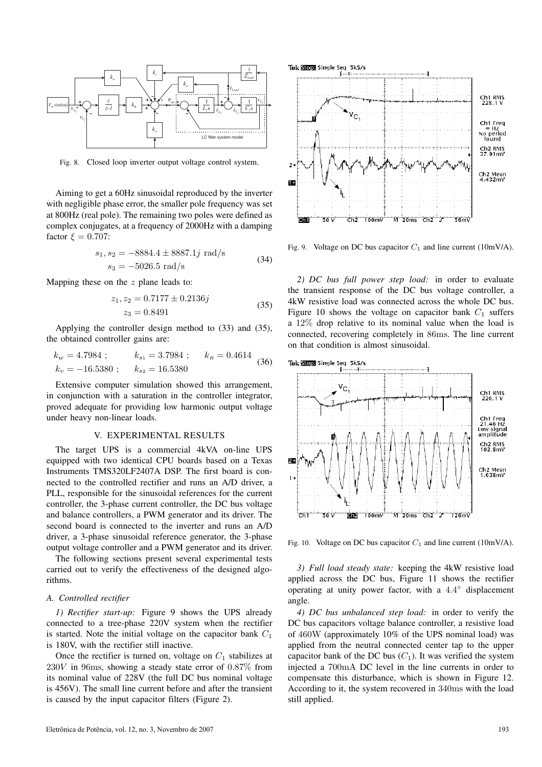

Fig. 8. Closed loop inverter output voltage control system.

Aiming to get a 60Hz sinusoidal reproduced by the inverter with negligible phase error, the smaller pole frequency was set at 800Hz (real pole). The remaining two poles were defined as complex conjugates, at a frequency of 2000Hz with a damping factor  $\xi = 0.707$ :

$$
s_1, s_2 = -8884.4 \pm 8887.1j \text{ rad/s}
$$
  

$$
s_3 = -5026.5 \text{ rad/s}
$$
 (34)

Mapping these on the  $z$  plane leads to:

$$
z_1, z_2 = 0.7177 \pm 0.2136j
$$
  

$$
z_3 = 0.8491
$$
 (35)

Applying the controller design method to (33) and (35), the obtained controller gains are:

$$
k_w = 4.7984
$$
;  $k_{s_1} = 3.7984$ ;  $k_R = 0.4614$   
 $k_v = -16.5380$ ;  $k_{s_2} = 16.5380$  (36)

Extensive computer simulation showed this arrangement, in conjunction with a saturation in the controller integrator, proved adequate for providing low harmonic output voltage under heavy non-linear loads.

# V. EXPERIMENTAL RESULTS

The target UPS is a commercial 4kVA on-line UPS equipped with two identical CPU boards based on a Texas Instruments TMS320LF2407A DSP. The first board is connected to the controlled rectifier and runs an A/D driver, a PLL, responsible for the sinusoidal references for the current controller, the 3-phase current controller, the DC bus voltage and balance controllers, a PWM generator and its driver. The second board is connected to the inverter and runs an A/D driver, a 3-phase sinusoidal reference generator, the 3-phase output voltage controller and a PWM generator and its driver.

The following sections present several experimental tests carried out to verify the effectiveness of the designed algorithms.

#### *A. Controlled rectifier*

*1) Rectifier start-up:* Figure 9 shows the UPS already connected to a tree-phase 220V system when the rectifier is started. Note the initial voltage on the capacitor bank  $C_1$ is 180V, with the rectifier still inactive.

Once the rectifier is turned on, voltage on  $C_1$  stabilizes at  $230V$  in 96ms, showing a steady state error of 0.87% from its nominal value of 228V (the full DC bus nominal voltage is 456V). The small line current before and after the transient is caused by the input capacitor filters (Figure 2).



Fig. 9. Voltage on DC bus capacitor  $C_1$  and line current (10mV/A).

*2) DC bus full power step load:* in order to evaluate the transient response of the DC bus voltage controller, a 4kW resistive load was connected across the whole DC bus. Figure 10 shows the voltage on capacitor bank  $C_1$  suffers a 12% drop relative to its nominal value when the load is connected, recovering completely in 86ms. The line current on that condition is almost sinusoidal.



Fig. 10. Voltage on DC bus capacitor  $C_1$  and line current (10mV/A).

*3) Full load steady state:* keeping the 4kW resistive load applied across the DC bus, Figure 11 shows the rectifier operating at unity power factor, with a 4.4 ◦ displacement angle.

*4) DC bus unbalanced step load:* in order to verify the DC bus capacitors voltage balance controller, a resistive load of 460W (approximately 10% of the UPS nominal load) was applied from the neutral connected center tap to the upper capacitor bank of the DC bus  $(C_1)$ . It was verified the system injected a 700mA DC level in the line currents in order to compensate this disturbance, which is shown in Figure 12. According to it, the system recovered in 340ms with the load still applied.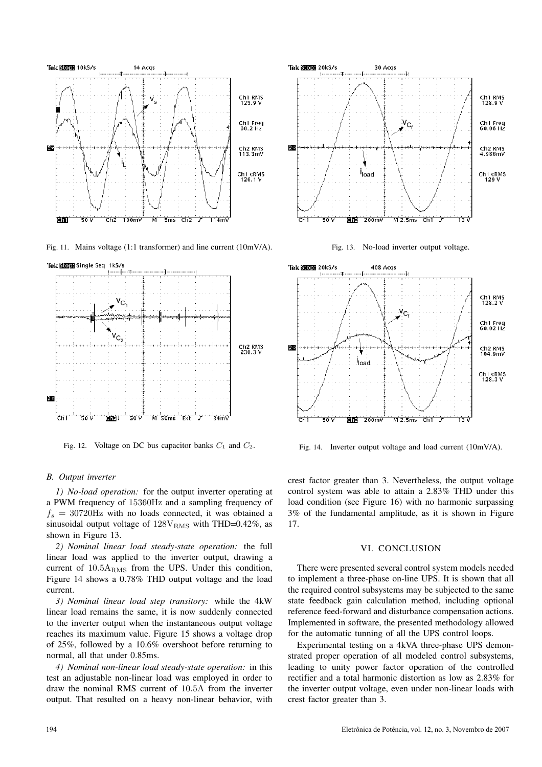

Fig. 11. Mains voltage (1:1 transformer) and line current (10mV/A).



Fig. 12. Voltage on DC bus capacitor banks  $C_1$  and  $C_2$ .

# *B. Output inverter*

*1) No-load operation:* for the output inverter operating at a PWM frequency of 15360Hz and a sampling frequency of  $f_s = 30720$ Hz with no loads connected, it was obtained a sinusoidal output voltage of  $128V<sub>RMS</sub>$  with THD=0.42%, as shown in Figure 13.

*2) Nominal linear load steady-state operation:* the full linear load was applied to the inverter output, drawing a current of  $10.5A<sub>RMS</sub>$  from the UPS. Under this condition, Figure 14 shows a 0.78% THD output voltage and the load current.

*3) Nominal linear load step transitory:* while the 4kW linear load remains the same, it is now suddenly connected to the inverter output when the instantaneous output voltage reaches its maximum value. Figure 15 shows a voltage drop of 25%, followed by a 10.6% overshoot before returning to normal, all that under 0.85ms.

*4) Nominal non-linear load steady-state operation:* in this test an adjustable non-linear load was employed in order to draw the nominal RMS current of 10.5A from the inverter output. That resulted on a heavy non-linear behavior, with



Fig. 13. No-load inverter output voltage.



Fig. 14. Inverter output voltage and load current (10mV/A).

crest factor greater than 3. Nevertheless, the output voltage control system was able to attain a 2.83% THD under this load condition (see Figure 16) with no harmonic surpassing 3% of the fundamental amplitude, as it is shown in Figure 17.

### VI. CONCLUSION

There were presented several control system models needed to implement a three-phase on-line UPS. It is shown that all the required control subsystems may be subjected to the same state feedback gain calculation method, including optional reference feed-forward and disturbance compensation actions. Implemented in software, the presented methodology allowed for the automatic tunning of all the UPS control loops.

Experimental testing on a 4kVA three-phase UPS demonstrated proper operation of all modeled control subsystems, leading to unity power factor operation of the controlled rectifier and a total harmonic distortion as low as 2.83% for the inverter output voltage, even under non-linear loads with crest factor greater than 3.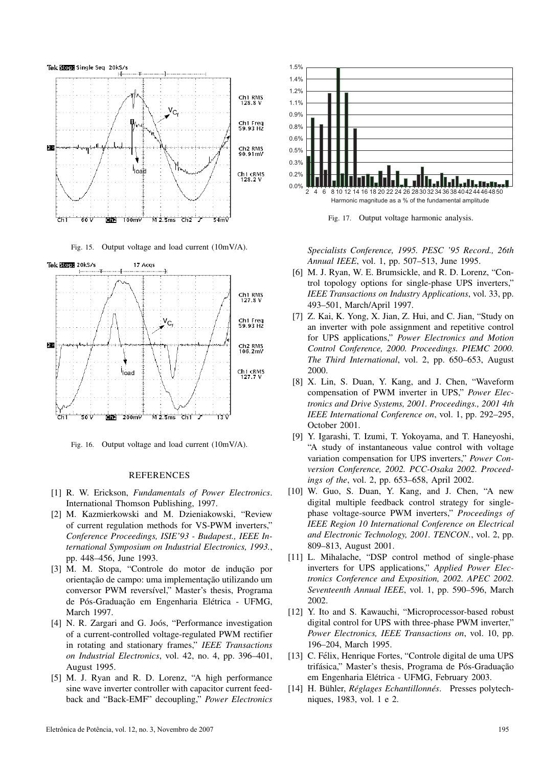

Fig. 15. Output voltage and load current (10mV/A).



Fig. 16. Output voltage and load current (10mV/A).

## REFERENCES

- [1] R. W. Erickson, *Fundamentals of Power Electronics*. International Thomson Publishing, 1997.
- [2] M. Kazmierkowski and M. Dzieniakowski, "Review of current regulation methods for VS-PWM inverters," *Conference Proceedings, ISIE'93 - Budapest., IEEE International Symposium on Industrial Electronics, 1993.*, pp. 448–456, June 1993.
- [3] M. M. Stopa, "Controle do motor de indução por orientação de campo: uma implementação utilizando um conversor PWM reversivel," Master's thesis, Programa de Pós-Graduação em Engenharia Elétrica - UFMG, March 1997.
- [4] N. R. Zargari and G. Joós, "Performance investigation of a current-controlled voltage-regulated PWM rectifier in rotating and stationary frames," *IEEE Transactions on Industrial Electronics*, vol. 42, no. 4, pp. 396–401, August 1995.
- [5] M. J. Ryan and R. D. Lorenz, "A high performance sine wave inverter controller with capacitor current feedback and "Back-EMF" decoupling," *Power Electronics*



Fig. 17. Output voltage harmonic analysis.

*Specialists Conference, 1995. PESC '95 Record., 26th Annual IEEE*, vol. 1, pp. 507–513, June 1995.

- [6] M. J. Ryan, W. E. Brumsickle, and R. D. Lorenz, "Control topology options for single-phase UPS inverters," *IEEE Transactions on Industry Applications*, vol. 33, pp. 493–501, March/April 1997.
- [7] Z. Kai, K. Yong, X. Jian, Z. Hui, and C. Jian, "Study on an inverter with pole assignment and repetitive control for UPS applications," *Power Electronics and Motion Control Conference, 2000. Proceedings. PIEMC 2000. The Third International*, vol. 2, pp. 650–653, August 2000.
- [8] X. Lin, S. Duan, Y. Kang, and J. Chen, "Waveform compensation of PWM inverter in UPS," *Power Electronics and Drive Systems, 2001. Proceedings., 2001 4th IEEE International Conference on*, vol. 1, pp. 292–295, October 2001.
- [9] Y. Igarashi, T. Izumi, T. Yokoyama, and T. Haneyoshi, "A study of instantaneous value control with voltage variation compensation for UPS inverters," *Power Conversion Conference, 2002. PCC-Osaka 2002. Proceedings of the*, vol. 2, pp. 653–658, April 2002.
- [10] W. Guo, S. Duan, Y. Kang, and J. Chen, "A new digital multiple feedback control strategy for singlephase voltage-source PWM inverters," *Proceedings of IEEE Region 10 International Conference on Electrical and Electronic Technology, 2001. TENCON.*, vol. 2, pp. 809–813, August 2001.
- [11] L. Mihalache, "DSP control method of single-phase inverters for UPS applications," *Applied Power Electronics Conference and Exposition, 2002. APEC 2002. Seventeenth Annual IEEE*, vol. 1, pp. 590–596, March 2002.
- [12] Y. Ito and S. Kawauchi, "Microprocessor-based robust digital control for UPS with three-phase PWM inverter," *Power Electronics, IEEE Transactions on*, vol. 10, pp. 196–204, March 1995.
- [13] C. Félix, Henrique Fortes, "Controle digital de uma UPS trifásica," Master's thesis, Programa de Pós-Graduação em Engenharia Elétrica - UFMG, February 2003.
- [14] H. Bühler, *Réglages Echantillonnés*. Presses polytechniques, 1983, vol. 1 e 2.